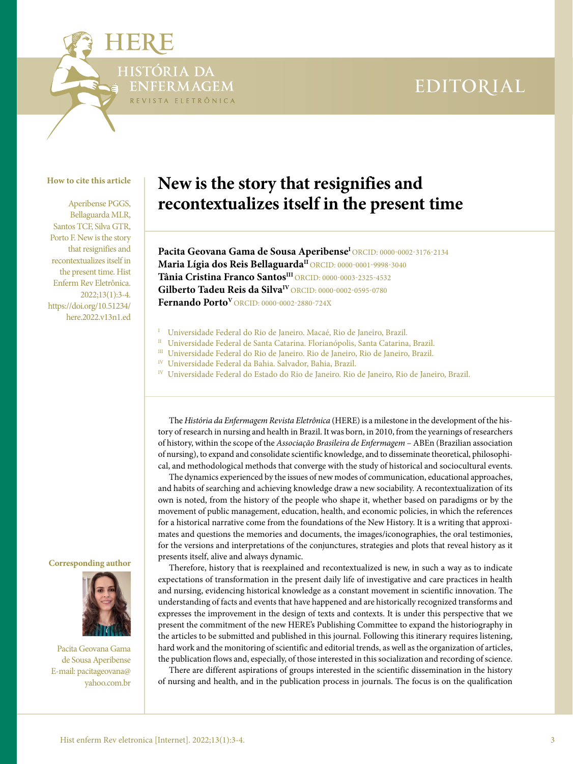# EDITORIAL

### **How to cite this article**

STÓRIA DA

FERMAGEM REVISTA ELETRÔNICA

Aperibense PGGS, Bellaguarda MLR, Santos TCF, Silva GTR, Porto F. New is the story that resignifies and recontextualizes itself in the present time. Hist Enferm Rev Eletrônica. 2022;13(1):3-4. [https://doi.org/10.51234/](https://doi.org/10.51234/here.2022.v13n1.ed
) [here.2022.v13n1.ed](https://doi.org/10.51234/here.2022.v13n1.ed
)

## **New is the story that resignifies and recontextualizes itself in the present time**

Pacita Geovana Gama de Sousa Aperibense<sup>I</sup> [ORCID: 0000-0002-3176-2134](https://orcid.org/0000-0002-3176-2134) **Maria Lígia dos Reis BellaguardaII** [ORCID: 0000-0001-9998-3040](https://orcid.org/0000-0001-9998-3040) **Tânia Cristina Franco SantosIII** [ORCID: 0000-0003-2325-4532](https://orcid.org/0000-0003-2325-4532) Gilberto Tadeu Reis da Silva<sup>IV</sup> [ORCID: 0000-0002-0595-0780](https://orcid.org/0000-0002-0595-0780) **Fernando PortoV** [ORCID: 0000-0002-2880-724X](https://orcid.org/0000-0002-2880-724X)

- 
- <sup>I</sup> Universidade Federal do Rio de Janeiro. Macaé, Rio de Janeiro, Brazil.<br><sup>II</sup> Universidade Federal de Santa Catarina. Florianópolis, Santa Catarina, Brazil.
- III Universidade Federal do Rio de Janeiro. Rio de Janeiro, Rio de Janeiro, Brazil.
- IV Universidade Federal da Bahia. Salvador, Bahia, Brazil.
- <sup>IV</sup> Universidade Federal do Estado do Rio de Janeiro. Rio de Janeiro, Rio de Janeiro, Brazil.

The *História da Enfermagem Revista Eletrônica* (HERE) is a milestone in the development of the history of research in nursing and health in Brazil. It was born, in 2010, from the yearnings of researchers of history, within the scope of the *Associação Brasileira de Enfermagem* – ABEn (Brazilian association of nursing), to expand and consolidate scientific knowledge, and to disseminate theoretical, philosophical, and methodological methods that converge with the study of historical and sociocultural events.

The dynamics experienced by the issues of new modes of communication, educational approaches, and habits of searching and achieving knowledge draw a new sociability. A recontextualization of its own is noted, from the history of the people who shape it, whether based on paradigms or by the movement of public management, education, health, and economic policies, in which the references for a historical narrative come from the foundations of the New History. It is a writing that approximates and questions the memories and documents, the images/iconographies, the oral testimonies, for the versions and interpretations of the conjunctures, strategies and plots that reveal history as it presents itself, alive and always dynamic.

Therefore, history that is reexplained and recontextualized is new, in such a way as to indicate expectations of transformation in the present daily life of investigative and care practices in health and nursing, evidencing historical knowledge as a constant movement in scientific innovation. The understanding of facts and events that have happened and are historically recognized transforms and expresses the improvement in the design of texts and contexts. It is under this perspective that we present the commitment of the new HERE's Publishing Committee to expand the historiography in the articles to be submitted and published in this journal. Following this itinerary requires listening, hard work and the monitoring of scientific and editorial trends, as well as the organization of articles, the publication flows and, especially, of those interested in this socialization and recording of science.

There are different aspirations of groups interested in the scientific dissemination in the history of nursing and health, and in the publication process in journals. The focus is on the qualification

### **Corresponding author**



Pacita Geovana Gama de Sousa Aperibense E-mail: [pacitageovana@](mailto:pacitageovana@yahoo.com.br) [yahoo.com.br](mailto:pacitageovana@yahoo.com.br)